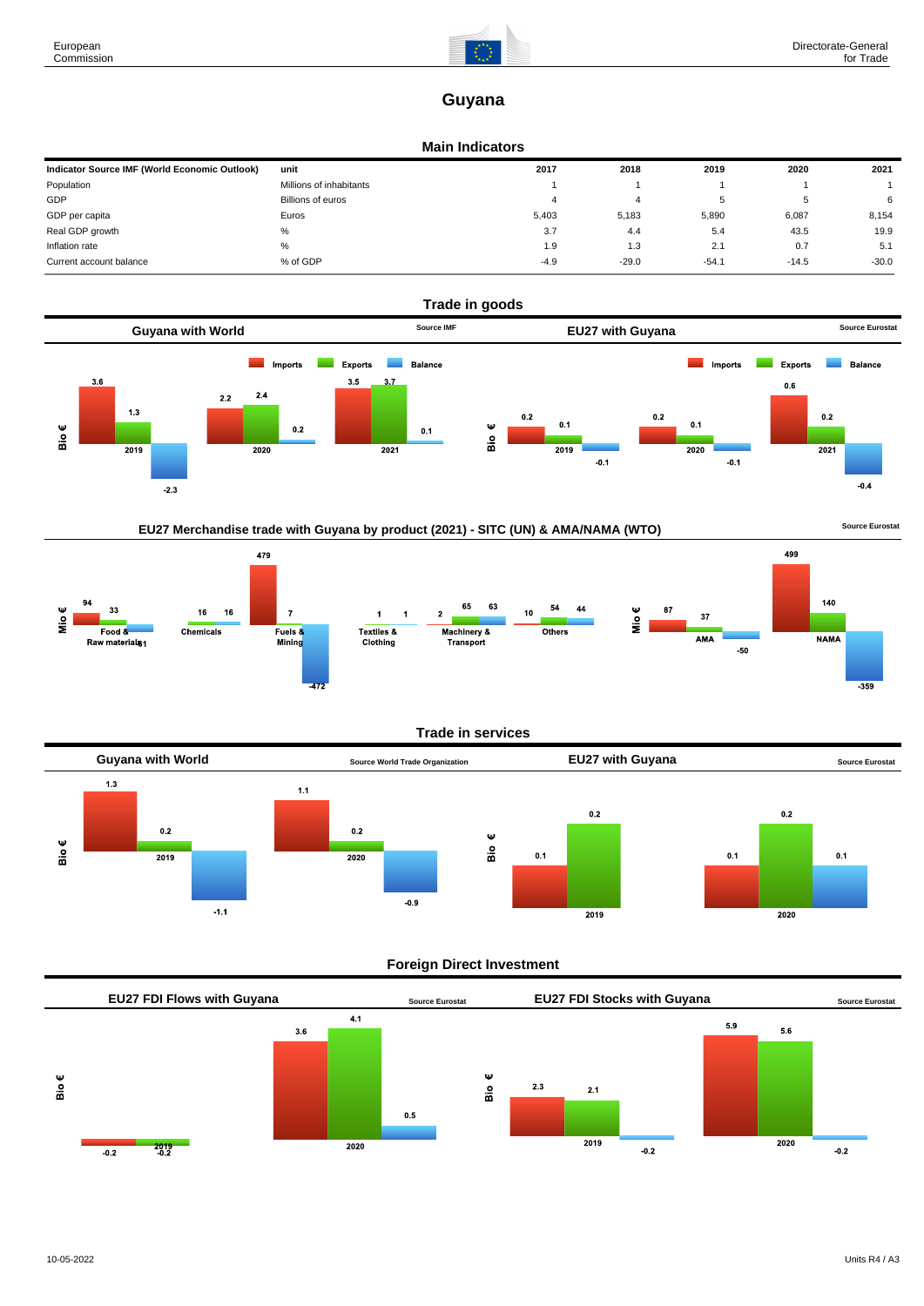

## **Guyana**

## **Main Indicators**

| Indicator Source IMF (World Economic Outlook) | unit                    | 2017   | 2018    | 2019    | 2020    | 2021    |
|-----------------------------------------------|-------------------------|--------|---------|---------|---------|---------|
| Population                                    | Millions of inhabitants |        |         |         |         |         |
| GDP                                           | Billions of euros       | 4      |         |         |         | 6       |
| GDP per capita                                | Euros                   | 5,403  | 5,183   | 5,890   | 6,087   | 8,154   |
| Real GDP growth                               | %                       | 3.7    | 4.4     | 5.4     | 43.5    | 19.9    |
| Inflation rate                                | %                       | 1.9    | 1.3     | 2.1     | 0.7     | 5.1     |
| Current account balance                       | % of GDP                | $-4.9$ | $-29.0$ | $-54.1$ | $-14.5$ | $-30.0$ |



## EU27 Merchandise trade with Guyana by product (2021) - SITC (UN) & AMA/NAMA (WTO) **Source Eurostat**



## **Trade in services**



## **Foreign Direct Investment**